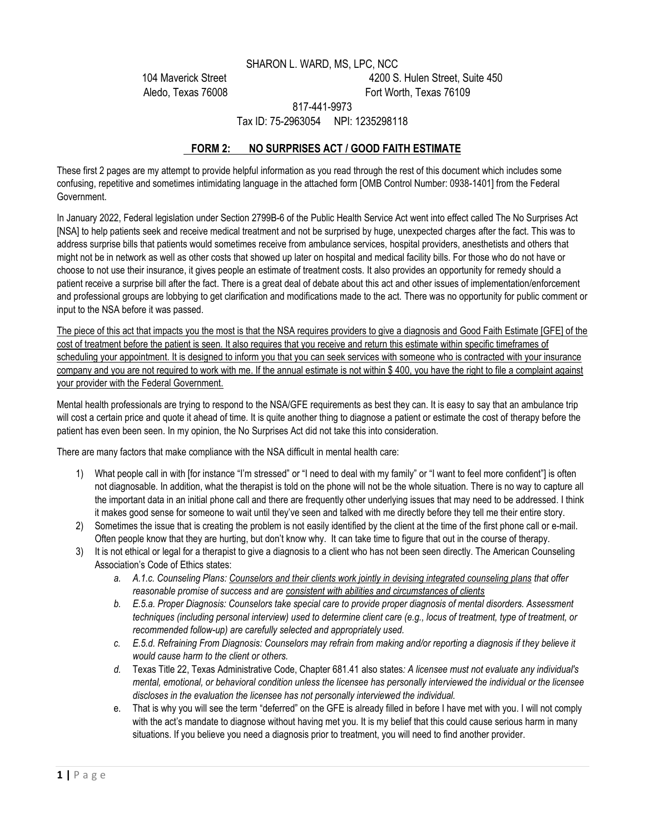SHARON L. WARD, MS, LPC, NCC

104 Maverick Street **Accord 104 Mars** 4200 S. Hulen Street, Suite 450 Aledo, Texas 76008 Fort Worth, Texas 76109

817-441-9973

Tax ID: 75-2963054 NPI: 1235298118

#### **FORM 2: NO SURPRISES ACT / GOOD FAITH ESTIMATE**

These first 2 pages are my attempt to provide helpful information as you read through the rest of this document which includes some confusing, repetitive and sometimes intimidating language in the attached form [OMB Control Number: 0938-1401] from the Federal Government.

In January 2022, Federal legislation under Section 2799B-6 of the Public Health Service Act went into effect called The No Surprises Act [NSA] to help patients seek and receive medical treatment and not be surprised by huge, unexpected charges after the fact. This was to address surprise bills that patients would sometimes receive from ambulance services, hospital providers, anesthetists and others that might not be in network as well as other costs that showed up later on hospital and medical facility bills. For those who do not have or choose to not use their insurance, it gives people an estimate of treatment costs. It also provides an opportunity for remedy should a patient receive a surprise bill after the fact. There is a great deal of debate about this act and other issues of implementation/enforcement and professional groups are lobbying to get clarification and modifications made to the act. There was no opportunity for public comment or input to the NSA before it was passed.

The piece of this act that impacts you the most is that the NSA requires providers to give a diagnosis and Good Faith Estimate [GFE] of the cost of treatment before the patient is seen. It also requires that you receive and return this estimate within specific timeframes of scheduling your appointment. It is designed to inform you that you can seek services with someone who is contracted with your insurance company and you are not required to work with me. If the annual estimate is not within \$ 400, you have the right to file a complaint against your provider with the Federal Government.

Mental health professionals are trying to respond to the NSA/GFE requirements as best they can. It is easy to say that an ambulance trip will cost a certain price and quote it ahead of time. It is quite another thing to diagnose a patient or estimate the cost of therapy before the patient has even been seen. In my opinion, the No Surprises Act did not take this into consideration.

There are many factors that make compliance with the NSA difficult in mental health care:

- 1) What people call in with [for instance "I'm stressed" or "I need to deal with my family" or "I want to feel more confident"] is often not diagnosable. In addition, what the therapist is told on the phone will not be the whole situation. There is no way to capture all the important data in an initial phone call and there are frequently other underlying issues that may need to be addressed. I think it makes good sense for someone to wait until they've seen and talked with me directly before they tell me their entire story.
- 2) Sometimes the issue that is creating the problem is not easily identified by the client at the time of the first phone call or e-mail. Often people know that they are hurting, but don't know why. It can take time to figure that out in the course of therapy.
- 3) It is not ethical or legal for a therapist to give a diagnosis to a client who has not been seen directly. The American Counseling Association's Code of Ethics states:
	- *a. A.1.c. Counseling Plans: Counselors and their clients work jointly in devising integrated counseling plans that offer reasonable promise of success and are consistent with abilities and circumstances of clients*
	- *b. E.5.a. Proper Diagnosis: Counselors take special care to provide proper diagnosis of mental disorders. Assessment techniques (including personal interview) used to determine client care (e.g., locus of treatment, type of treatment, or recommended follow-up) are carefully selected and appropriately used.*
	- *c. E.5.d. Refraining From Diagnosis: Counselors may refrain from making and/or reporting a diagnosis if they believe it would cause harm to the client or others.*
	- *d.* Texas Title 22, Texas Administrative Code, Chapter 681.41 also states*: A licensee must not evaluate any individual's mental, emotional, or behavioral condition unless the licensee has personally interviewed the individual or the licensee discloses in the evaluation the licensee has not personally interviewed the individual.*
	- e. That is why you will see the term "deferred" on the GFE is already filled in before I have met with you. I will not comply with the act's mandate to diagnose without having met you. It is my belief that this could cause serious harm in many situations. If you believe you need a diagnosis prior to treatment, you will need to find another provider.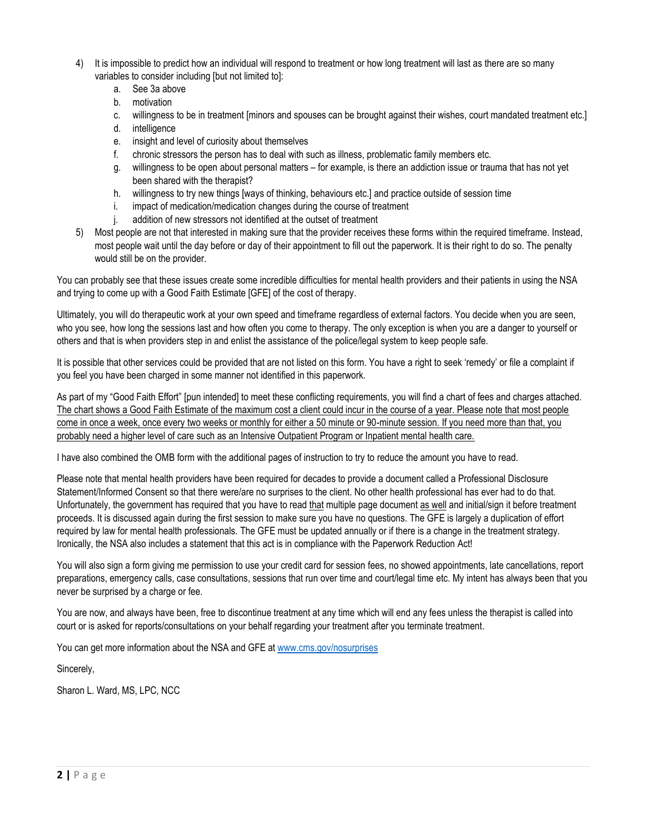- 4) It is impossible to predict how an individual will respond to treatment or how long treatment will last as there are so many variables to consider including [but not limited to]:
	- a. See 3a above
	- b. motivation
	- c. willingness to be in treatment [minors and spouses can be brought against their wishes, court mandated treatment etc.]
	- d. intelligence
	- e. insight and level of curiosity about themselves
	- f. chronic stressors the person has to deal with such as illness, problematic family members etc.
	- g. willingness to be open about personal matters for example, is there an addiction issue or trauma that has not yet been shared with the therapist?
	- h. willingness to try new things [ways of thinking, behaviours etc.] and practice outside of session time
	- i. impact of medication/medication changes during the course of treatment
	- j. addition of new stressors not identified at the outset of treatment
- 5) Most people are not that interested in making sure that the provider receives these forms within the required timeframe. Instead, most people wait until the day before or day of their appointment to fill out the paperwork. It is their right to do so. The penalty would still be on the provider.

You can probably see that these issues create some incredible difficulties for mental health providers and their patients in using the NSA and trying to come up with a Good Faith Estimate [GFE] of the cost of therapy.

Ultimately, you will do therapeutic work at your own speed and timeframe regardless of external factors. You decide when you are seen, who you see, how long the sessions last and how often you come to therapy. The only exception is when you are a danger to yourself or others and that is when providers step in and enlist the assistance of the police/legal system to keep people safe.

It is possible that other services could be provided that are not listed on this form. You have a right to seek 'remedy' or file a complaint if you feel you have been charged in some manner not identified in this paperwork.

As part of my "Good Faith Effort" [pun intended] to meet these conflicting requirements, you will find a chart of fees and charges attached. The chart shows a Good Faith Estimate of the maximum cost a client could incur in the course of a year. Please note that most people come in once a week, once every two weeks or monthly for either a 50 minute or 90-minute session. If you need more than that, you probably need a higher level of care such as an Intensive Outpatient Program or Inpatient mental health care.

I have also combined the OMB form with the additional pages of instruction to try to reduce the amount you have to read.

Please note that mental health providers have been required for decades to provide a document called a Professional Disclosure Statement/Informed Consent so that there were/are no surprises to the client. No other health professional has ever had to do that. Unfortunately, the government has required that you have to read that multiple page document as well and initial/sign it before treatment proceeds. It is discussed again during the first session to make sure you have no questions. The GFE is largely a duplication of effort required by law for mental health professionals. The GFE must be updated annually or if there is a change in the treatment strategy. Ironically, the NSA also includes a statement that this act is in compliance with the Paperwork Reduction Act!

You will also sign a form giving me permission to use your credit card for session fees, no showed appointments, late cancellations, report preparations, emergency calls, case consultations, sessions that run over time and court/legal time etc. My intent has always been that you never be surprised by a charge or fee.

You are now, and always have been, free to discontinue treatment at any time which will end any fees unless the therapist is called into court or is asked for reports/consultations on your behalf regarding your treatment after you terminate treatment.

You can get more information about the NSA and GFE a[t www.cms.gov/nosurprises](http://www.cms.gov/nosurprises)

Sincerely,

Sharon L. Ward, MS, LPC, NCC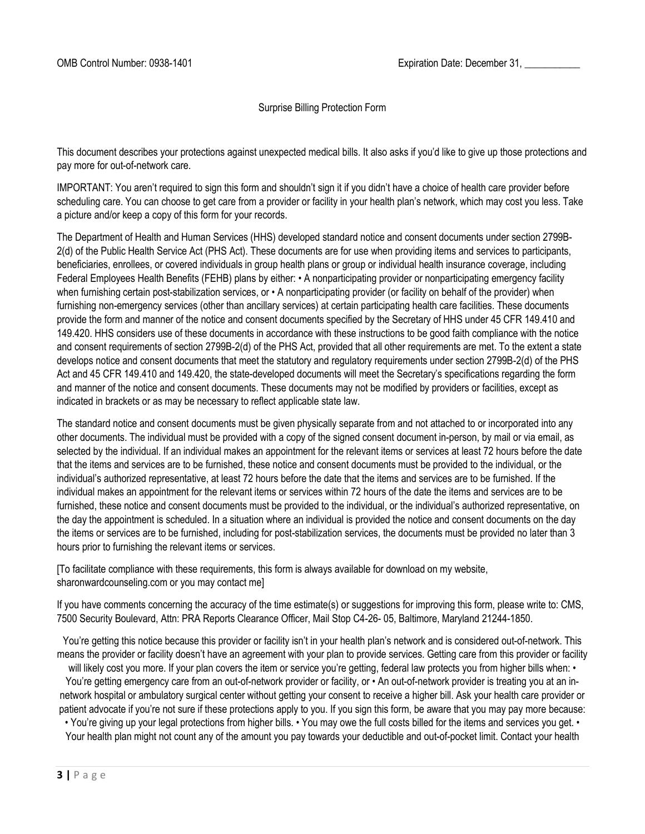### Surprise Billing Protection Form

This document describes your protections against unexpected medical bills. It also asks if you'd like to give up those protections and pay more for out-of-network care.

IMPORTANT: You aren't required to sign this form and shouldn't sign it if you didn't have a choice of health care provider before scheduling care. You can choose to get care from a provider or facility in your health plan's network, which may cost you less. Take a picture and/or keep a copy of this form for your records.

The Department of Health and Human Services (HHS) developed standard notice and consent documents under section 2799B-2(d) of the Public Health Service Act (PHS Act). These documents are for use when providing items and services to participants, beneficiaries, enrollees, or covered individuals in group health plans or group or individual health insurance coverage, including Federal Employees Health Benefits (FEHB) plans by either: • A nonparticipating provider or nonparticipating emergency facility when furnishing certain post-stabilization services, or • A nonparticipating provider (or facility on behalf of the provider) when furnishing non-emergency services (other than ancillary services) at certain participating health care facilities. These documents provide the form and manner of the notice and consent documents specified by the Secretary of HHS under 45 CFR 149.410 and 149.420. HHS considers use of these documents in accordance with these instructions to be good faith compliance with the notice and consent requirements of section 2799B-2(d) of the PHS Act, provided that all other requirements are met. To the extent a state develops notice and consent documents that meet the statutory and regulatory requirements under section 2799B-2(d) of the PHS Act and 45 CFR 149.410 and 149.420, the state-developed documents will meet the Secretary's specifications regarding the form and manner of the notice and consent documents. These documents may not be modified by providers or facilities, except as indicated in brackets or as may be necessary to reflect applicable state law.

The standard notice and consent documents must be given physically separate from and not attached to or incorporated into any other documents. The individual must be provided with a copy of the signed consent document in-person, by mail or via email, as selected by the individual. If an individual makes an appointment for the relevant items or services at least 72 hours before the date that the items and services are to be furnished, these notice and consent documents must be provided to the individual, or the individual's authorized representative, at least 72 hours before the date that the items and services are to be furnished. If the individual makes an appointment for the relevant items or services within 72 hours of the date the items and services are to be furnished, these notice and consent documents must be provided to the individual, or the individual's authorized representative, on the day the appointment is scheduled. In a situation where an individual is provided the notice and consent documents on the day the items or services are to be furnished, including for post-stabilization services, the documents must be provided no later than 3 hours prior to furnishing the relevant items or services.

[To facilitate compliance with these requirements, this form is always available for download on my website, sharonwardcounseling.com or you may contact me]

If you have comments concerning the accuracy of the time estimate(s) or suggestions for improving this form, please write to: CMS, 7500 Security Boulevard, Attn: PRA Reports Clearance Officer, Mail Stop C4-26- 05, Baltimore, Maryland 21244-1850.

You're getting this notice because this provider or facility isn't in your health plan's network and is considered out-of-network. This means the provider or facility doesn't have an agreement with your plan to provide services. Getting care from this provider or facility

will likely cost you more. If your plan covers the item or service you're getting, federal law protects you from higher bills when: •

You're getting emergency care from an out-of-network provider or facility, or  $\cdot$  An out-of-network provider is treating you at an innetwork hospital or ambulatory surgical center without getting your consent to receive a higher bill. Ask your health care provider or patient advocate if you're not sure if these protections apply to you. If you sign this form, be aware that you may pay more because:

• You're giving up your legal protections from higher bills. • You may owe the full costs billed for the items and services you get. • Your health plan might not count any of the amount you pay towards your deductible and out-of-pocket limit. Contact your health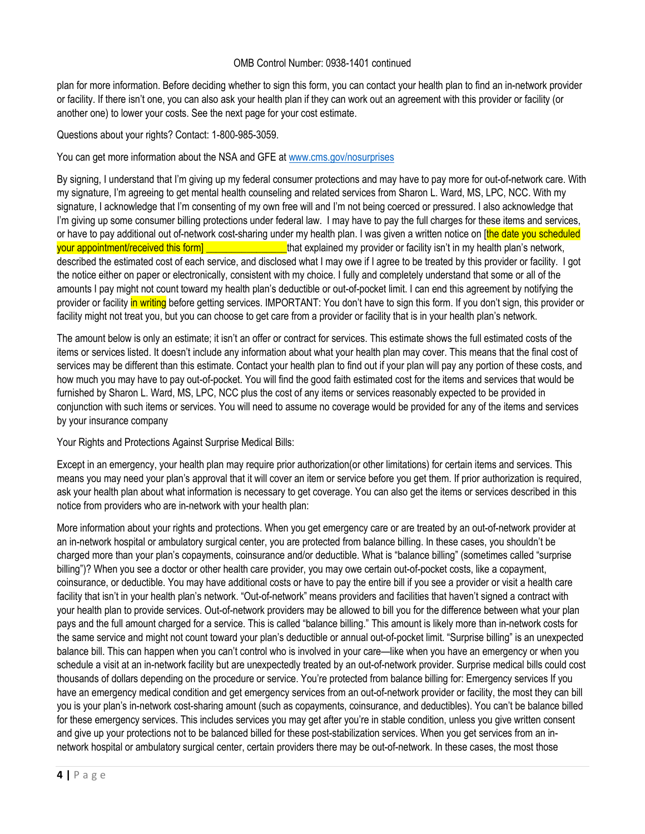#### OMB Control Number: 0938-1401 continued

plan for more information. Before deciding whether to sign this form, you can contact your health plan to find an in-network provider or facility. If there isn't one, you can also ask your health plan if they can work out an agreement with this provider or facility (or another one) to lower your costs. See the next page for your cost estimate.

#### Questions about your rights? Contact: 1-800-985-3059.

You can get more information about the NSA and GFE at [www.cms.gov/nosurprises](http://www.cms.gov/nosurprises)

By signing, I understand that I'm giving up my federal consumer protections and may have to pay more for out-of-network care. With my signature, I'm agreeing to get mental health counseling and related services from Sharon L. Ward, MS, LPC, NCC. With my signature, I acknowledge that I'm consenting of my own free will and I'm not being coerced or pressured. I also acknowledge that I'm giving up some consumer billing protections under federal law. I may have to pay the full charges for these items and services, or have to pay additional out of-network cost-sharing under my health plan. I was given a written notice on [the date you scheduled your appointment/received this form **witch the state of the structure** that explained my provider or facility isn't in my health plan's network, described the estimated cost of each service, and disclosed what I may owe if I agree to be treated by this provider or facility. I got the notice either on paper or electronically, consistent with my choice. I fully and completely understand that some or all of the amounts I pay might not count toward my health plan's deductible or out-of-pocket limit. I can end this agreement by notifying the provider or facility in writing before getting services. IMPORTANT: You don't have to sign this form. If you don't sign, this provider or facility might not treat you, but you can choose to get care from a provider or facility that is in your health plan's network.

The amount below is only an estimate; it isn't an offer or contract for services. This estimate shows the full estimated costs of the items or services listed. It doesn't include any information about what your health plan may cover. This means that the final cost of services may be different than this estimate. Contact your health plan to find out if your plan will pay any portion of these costs, and how much you may have to pay out-of-pocket. You will find the good faith estimated cost for the items and services that would be furnished by Sharon L. Ward, MS, LPC, NCC plus the cost of any items or services reasonably expected to be provided in conjunction with such items or services. You will need to assume no coverage would be provided for any of the items and services by your insurance company

Your Rights and Protections Against Surprise Medical Bills:

Except in an emergency, your health plan may require prior authorization(or other limitations) for certain items and services. This means you may need your plan's approval that it will cover an item or service before you get them. If prior authorization is required, ask your health plan about what information is necessary to get coverage. You can also get the items or services described in this notice from providers who are in-network with your health plan:

More information about your rights and protections. When you get emergency care or are treated by an out-of-network provider at an in-network hospital or ambulatory surgical center, you are protected from balance billing. In these cases, you shouldn't be charged more than your plan's copayments, coinsurance and/or deductible. What is "balance billing" (sometimes called "surprise billing")? When you see a doctor or other health care provider, you may owe certain out-of-pocket costs, like a copayment, coinsurance, or deductible. You may have additional costs or have to pay the entire bill if you see a provider or visit a health care facility that isn't in your health plan's network. "Out-of-network" means providers and facilities that haven't signed a contract with your health plan to provide services. Out-of-network providers may be allowed to bill you for the difference between what your plan pays and the full amount charged for a service. This is called "balance billing." This amount is likely more than in-network costs for the same service and might not count toward your plan's deductible or annual out-of-pocket limit. "Surprise billing" is an unexpected balance bill. This can happen when you can't control who is involved in your care—like when you have an emergency or when you schedule a visit at an in-network facility but are unexpectedly treated by an out-of-network provider. Surprise medical bills could cost thousands of dollars depending on the procedure or service. You're protected from balance billing for: Emergency services If you have an emergency medical condition and get emergency services from an out-of-network provider or facility, the most they can bill you is your plan's in-network cost-sharing amount (such as copayments, coinsurance, and deductibles). You can't be balance billed for these emergency services. This includes services you may get after you're in stable condition, unless you give written consent and give up your protections not to be balanced billed for these post-stabilization services. When you get services from an innetwork hospital or ambulatory surgical center, certain providers there may be out-of-network. In these cases, the most those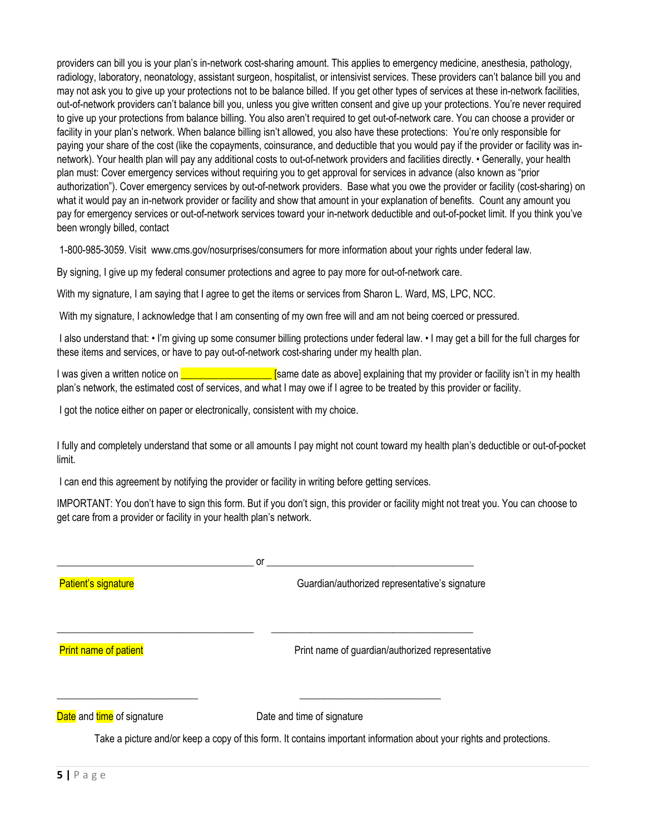providers can bill you is your plan's in-network cost-sharing amount. This applies to emergency medicine, anesthesia, pathology, radiology, laboratory, neonatology, assistant surgeon, hospitalist, or intensivist services. These providers can't balance bill you and may not ask you to give up your protections not to be balance billed. If you get other types of services at these in-network facilities, out-of-network providers can't balance bill you, unless you give written consent and give up your protections. You're never required to give up your protections from balance billing. You also aren't required to get out-of-network care. You can choose a provider or facility in your plan's network. When balance billing isn't allowed, you also have these protections: You're only responsible for paying your share of the cost (like the copayments, coinsurance, and deductible that you would pay if the provider or facility was innetwork). Your health plan will pay any additional costs to out-of-network providers and facilities directly. • Generally, your health plan must: Cover emergency services without requiring you to get approval for services in advance (also known as "prior authorization"). Cover emergency services by out-of-network providers. Base what you owe the provider or facility (cost-sharing) on what it would pay an in-network provider or facility and show that amount in your explanation of benefits. Count any amount you pay for emergency services or out-of-network services toward your in-network deductible and out-of-pocket limit. If you think you've been wrongly billed, contact

1-800-985-3059. Visit www.cms.gov/nosurprises/consumers for more information about your rights under federal law.

By signing, I give up my federal consumer protections and agree to pay more for out-of-network care.

With my signature, I am saying that I agree to get the items or services from Sharon L. Ward, MS, LPC, NCC.

With my signature, I acknowledge that I am consenting of my own free will and am not being coerced or pressured.

I also understand that: • I'm giving up some consumer billing protections under federal law. • I may get a bill for the full charges for these items and services, or have to pay out-of-network cost-sharing under my health plan.

I was given a written notice on <u>section and the section of</u> same date as above] explaining that my provider or facility isn't in my health plan's network, the estimated cost of services, and what I may owe if I agree to be treated by this provider or facility.

I got the notice either on paper or electronically, consistent with my choice.

I fully and completely understand that some or all amounts I pay might not count toward my health plan's deductible or out-of-pocket limit.

I can end this agreement by notifying the provider or facility in writing before getting services.

IMPORTANT: You don't have to sign this form. But if you don't sign, this provider or facility might not treat you. You can choose to get care from a provider or facility in your health plan's network.

|                              | or                                                                                                     |  |
|------------------------------|--------------------------------------------------------------------------------------------------------|--|
| Patient's signature          | Guardian/authorized representative's signature                                                         |  |
| <b>Print name of patient</b> | Print name of guardian/authorized representative                                                       |  |
| Date and time of signature   | Date and time of signature                                                                             |  |
|                              | Take a nicture and/or keep a conv of this form It contains important information about your rights and |  |

Take a picture and/or keep a copy of this form. It contains important information about your rights and protections.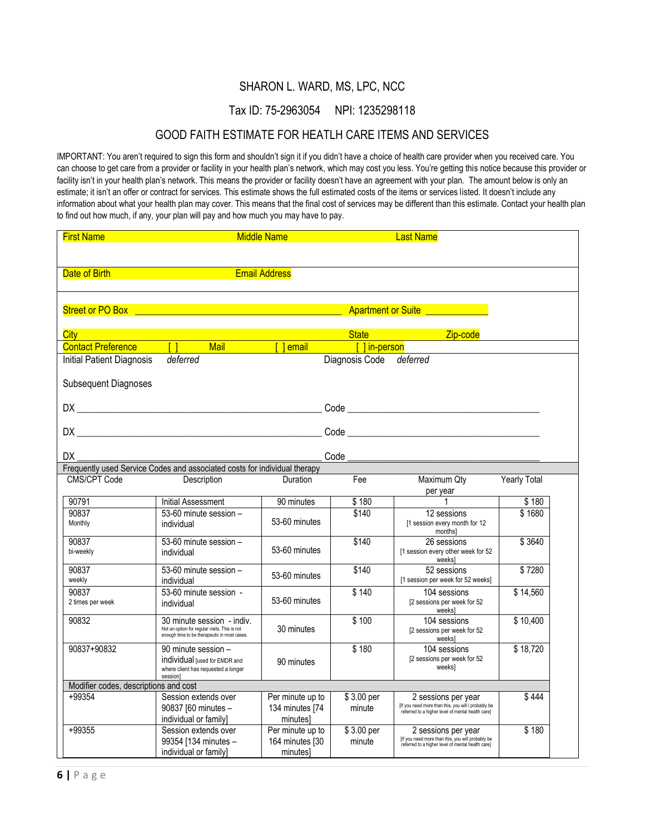# SHARON L. WARD, MS, LPC, NCC

Tax ID: 75-2963054 NPI: 1235298118

## GOOD FAITH ESTIMATE FOR HEATLH CARE ITEMS AND SERVICES

IMPORTANT: You aren't required to sign this form and shouldn't sign it if you didn't have a choice of health care provider when you received care. You can choose to get care from a provider or facility in your health plan's network, which may cost you less. You're getting this notice because this provider or facility isn't in your health plan's network. This means the provider or facility doesn't have an agreement with your plan. The amount below is only an estimate; it isn't an offer or contract for services. This estimate shows the full estimated costs of the items or services listed. It doesn't include any information about what your health plan may cover. This means that the final cost of services may be different than this estimate. Contact your health plan to find out how much, if any, your plan will pay and how much you may have to pay.

| <b>First Name</b>                     | <b>Middle Name</b>                                                                                                    |                             |                         | <b>Last Name</b>                                                                                         |                                  |  |
|---------------------------------------|-----------------------------------------------------------------------------------------------------------------------|-----------------------------|-------------------------|----------------------------------------------------------------------------------------------------------|----------------------------------|--|
|                                       |                                                                                                                       |                             |                         |                                                                                                          |                                  |  |
| Date of Birth                         |                                                                                                                       | <b>Email Address</b>        |                         |                                                                                                          |                                  |  |
|                                       | <u> 1999 - Johann Barnett, mars et al. 1999 - Anna ann an t-Anna ann an t-Anna ann an t-Anna ann an t-Anna ann an</u> |                             |                         |                                                                                                          |                                  |  |
|                                       |                                                                                                                       |                             |                         |                                                                                                          |                                  |  |
|                                       | Street or PO Box and the street of the street of the street of the street of the street of the street                 |                             |                         | Apartment or Suite <b>Communist Contains</b>                                                             |                                  |  |
|                                       |                                                                                                                       |                             |                         |                                                                                                          |                                  |  |
| City                                  |                                                                                                                       |                             |                         | Zip-code<br>State <b>State</b>                                                                           |                                  |  |
| <b>Contact Preference</b>             | $\blacksquare$<br><b>Mail</b>                                                                                         | email                       | 1in-person              |                                                                                                          |                                  |  |
| Initial Patient Diagnosis             | deferred                                                                                                              |                             | Diagnosis Code deferred |                                                                                                          |                                  |  |
|                                       |                                                                                                                       |                             |                         |                                                                                                          |                                  |  |
| Subsequent Diagnoses                  |                                                                                                                       |                             |                         |                                                                                                          |                                  |  |
|                                       |                                                                                                                       |                             |                         |                                                                                                          |                                  |  |
|                                       |                                                                                                                       |                             |                         |                                                                                                          |                                  |  |
|                                       |                                                                                                                       |                             |                         |                                                                                                          |                                  |  |
|                                       |                                                                                                                       |                             |                         |                                                                                                          |                                  |  |
| DX                                    |                                                                                                                       |                             | Code                    |                                                                                                          |                                  |  |
|                                       | Frequently used Service Codes and associated costs for individual therapy                                             |                             |                         |                                                                                                          |                                  |  |
| <b>CMS/CPT Code</b>                   | Description                                                                                                           | Duration                    | Fee                     | Maximum Qty                                                                                              | <b>Yearly Total</b>              |  |
|                                       |                                                                                                                       |                             |                         | per year                                                                                                 |                                  |  |
| 90791<br>90837                        | <b>Initial Assessment</b>                                                                                             | 90 minutes                  | \$180<br>\$140          | $\mathbf{1}$                                                                                             | \$180                            |  |
| Monthly                               | $53-60$ minute session -<br>individual                                                                                | 53-60 minutes               |                         | 12 sessions<br>[1 session every month for 12                                                             | \$1680                           |  |
|                                       |                                                                                                                       |                             |                         | months]                                                                                                  |                                  |  |
| 90837<br>bi-weekly                    | 53-60 minute session -                                                                                                | 53-60 minutes               | \$140                   | 26 sessions<br>[1 session every other week for 52                                                        | \$3640                           |  |
|                                       | individual                                                                                                            |                             |                         | weeksl                                                                                                   |                                  |  |
| 90837                                 | 53-60 minute session -                                                                                                | 53-60 minutes               | \$140                   | 52 sessions                                                                                              | \$7280                           |  |
| weekly                                | individual                                                                                                            |                             |                         | [1 session per week for 52 weeks]                                                                        |                                  |  |
| 90837<br>2 times per week             | 53-60 minute session -<br>individual                                                                                  | 53-60 minutes               | \$140                   | 104 sessions<br>[2 sessions per week for 52                                                              | $\overline{$}3\overline{14},560$ |  |
|                                       |                                                                                                                       |                             |                         | weeks]                                                                                                   |                                  |  |
| 90832                                 | 30 minute session - indiv.<br>Not an option for regular visits. This is not                                           | 30 minutes                  | \$100                   | 104 sessions                                                                                             | $\overline{$}10,400$             |  |
|                                       | enough time to be therapeutic in most cases.                                                                          |                             |                         | [2 sessions per week for 52<br>weeks]                                                                    |                                  |  |
| 90837+90832                           | 90 minute session -                                                                                                   |                             | $\overline{\$}$ 180     | 104 sessions                                                                                             | $\sqrt{$}18,720$                 |  |
|                                       | individual jused for EMDR and<br>where client has requested a longer                                                  | 90 minutes                  |                         | [2 sessions per week for 52<br>weeks]                                                                    |                                  |  |
|                                       | session]                                                                                                              |                             |                         |                                                                                                          |                                  |  |
| Modifier codes, descriptions and cost |                                                                                                                       |                             |                         |                                                                                                          |                                  |  |
| +99354                                | Session extends over                                                                                                  | Per minute up to            | \$3.00 per              | 2 sessions per year                                                                                      | \$444                            |  |
|                                       | 90837 [60 minutes -<br>individual or family]                                                                          | 134 minutes [74<br>minutes] | minute                  | [If you need more than this, you will I probably be<br>referred to a higher level of mental health care] |                                  |  |
| +99355                                | Session extends over                                                                                                  | Per minute up to            | \$3.00 per              | 2 sessions per year                                                                                      | \$180                            |  |
|                                       | 99354 [134 minutes -                                                                                                  | 164 minutes [30             | minute                  | [If you need more than this, you will probably be<br>referred to a higher level of mental health care]   |                                  |  |
|                                       | individual or family]                                                                                                 | minutesl                    |                         |                                                                                                          |                                  |  |